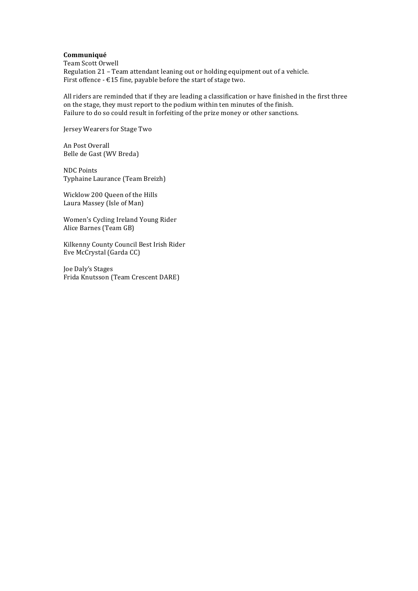#### **Communiqué**

Team Scott Orwell Regulation 21 - Team attendant leaning out or holding equipment out of a vehicle. First offence -  $E15$  fine, payable before the start of stage two.

All riders are reminded that if they are leading a classification or have finished in the first three on the stage, they must report to the podium within ten minutes of the finish. Failure to do so could result in forfeiting of the prize money or other sanctions.

Jersey Wearers for Stage Two

An Post Overall Belle de Gast (WV Breda)

NDC Points Typhaine Laurance (Team Breizh)

Wicklow 200 Queen of the Hills Laura Massey (Isle of Man)

Women's Cycling Ireland Young Rider Alice Barnes (Team GB)

Kilkenny County Council Best Irish Rider Eve McCrystal (Garda CC)

Joe Daly's Stages Frida Knutsson (Team Crescent DARE)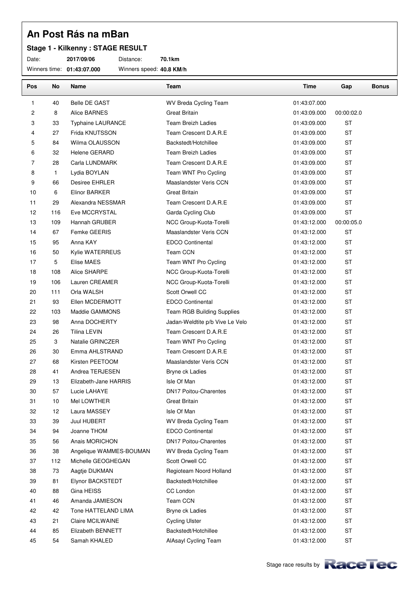### **Stage 1 - Kilkenny : STAGE RESULT**

Date: **2017/09/06** Distance: **70.1km**

Winners time: **01:43:07.000** Winners speed: **40.8 KM/h**

| Pos            | No           | Name                     | Team                            | Time         | Gap        | <b>Bonus</b> |
|----------------|--------------|--------------------------|---------------------------------|--------------|------------|--------------|
| 1              | 40           | Belle DE GAST            | WV Breda Cycling Team           | 01:43:07.000 |            |              |
| $\overline{c}$ | 8            | Alice BARNES             | <b>Great Britain</b>            | 01:43:09.000 | 00:00:02.0 |              |
| 3              | 33           | <b>Typhaine LAURANCE</b> | <b>Team Breizh Ladies</b>       | 01:43:09.000 | <b>ST</b>  |              |
| 4              | 27           | Frida KNUTSSON           | Team Crescent D.A.R.E           | 01:43:09.000 | <b>ST</b>  |              |
| 5              | 84           | Wilma OLAUSSON           | Backstedt/Hotchillee            | 01:43:09.000 | <b>ST</b>  |              |
| 6              | 32           | <b>Helene GERARD</b>     | <b>Team Breizh Ladies</b>       | 01:43:09.000 | <b>ST</b>  |              |
| 7              | 28           | Carla LUNDMARK           | Team Crescent D.A.R.E           | 01:43:09.000 | <b>ST</b>  |              |
| 8              | $\mathbf{1}$ | Lydia BOYLAN             | Team WNT Pro Cycling            | 01:43:09.000 | <b>ST</b>  |              |
| 9              | 66           | Desiree EHRLER           | Maaslandster Veris CCN          | 01:43:09.000 | ST         |              |
| 10             | 6            | Elinor BARKER            | <b>Great Britain</b>            | 01:43:09.000 | <b>ST</b>  |              |
| 11             | 29           | Alexandra NESSMAR        | Team Crescent D.A.R.E           | 01:43:09.000 | <b>ST</b>  |              |
| 12             | 116          | Eve MCCRYSTAL            | Garda Cycling Club              | 01:43:09.000 | <b>ST</b>  |              |
| 13             | 109          | Hannah GRUBER            | NCC Group-Kuota-Torelli         | 01:43:12.000 | 00:00:05.0 |              |
| 14             | 67           | Femke GEERIS             | Maaslandster Veris CCN          | 01:43:12.000 | <b>ST</b>  |              |
| 15             | 95           | Anna KAY                 | EDCO Continental                | 01:43:12.000 | <b>ST</b>  |              |
| 16             | 50           | Kylie WATERREUS          | Team CCN                        | 01:43:12.000 | <b>ST</b>  |              |
| 17             | 5            | Elise MAES               | Team WNT Pro Cycling            | 01:43:12.000 | <b>ST</b>  |              |
| 18             | 108          | Alice SHARPE             | NCC Group-Kuota-Torelli         | 01:43:12.000 | <b>ST</b>  |              |
| 19             | 106          | Lauren CREAMER           | NCC Group-Kuota-Torelli         | 01:43:12.000 | <b>ST</b>  |              |
| 20             | 111          | Orla WALSH               | Scott Orwell CC                 | 01:43:12.000 | <b>ST</b>  |              |
| 21             | 93           | Ellen MCDERMOTT          | <b>EDCO Continental</b>         | 01:43:12.000 | <b>ST</b>  |              |
| 22             | 103          | Maddie GAMMONS           | Team RGB Building Supplies      | 01:43:12.000 | ST         |              |
| 23             | 98           | Anna DOCHERTY            | Jadan-Weldtite p/b Vive Le Velo | 01:43:12.000 | <b>ST</b>  |              |
| 24             | 26           | <b>Tilina LEVIN</b>      | Team Crescent D.A.R.E           | 01:43:12.000 | <b>ST</b>  |              |
| 25             | 3            | Natalie GRINCZER         | Team WNT Pro Cycling            | 01:43:12.000 | <b>ST</b>  |              |
| 26             | 30           | Emma AHLSTRAND           | Team Crescent D.A.R.E           | 01:43:12.000 | <b>ST</b>  |              |
| 27             | 68           | Kirsten PEETOOM          | Maaslandster Veris CCN          | 01:43:12.000 | <b>ST</b>  |              |
| 28             | 41           | Andrea TERJESEN          | Bryne ck Ladies                 | 01:43:12.000 | <b>ST</b>  |              |
| 29             | 13           | Elizabeth-Jane HARRIS    | Isle Of Man                     | 01:43:12.000 | <b>ST</b>  |              |
| 30             | 57           | Lucie LAHAYE             | DN17 Poitou-Charentes           | 01:43:12.000 | <b>ST</b>  |              |
| 31             | 10           | Mel LOWTHER              | <b>Great Britain</b>            | 01:43:12.000 | ST         |              |
| 32             | 12           | Laura MASSEY             | Isle Of Man                     | 01:43:12.000 | <b>ST</b>  |              |
| 33             | 39           | Juul HUBERT              | WV Breda Cycling Team           | 01:43:12.000 | <b>ST</b>  |              |
| 34             | 94           | Joanne THOM              | <b>EDCO Continental</b>         | 01:43:12.000 | ST         |              |
| 35             | 56           | Anais MORICHON           | DN17 Poitou-Charentes           | 01:43:12.000 | <b>ST</b>  |              |
| 36             | 38           | Angelique WAMMES-BOUMAN  | WV Breda Cycling Team           | 01:43:12.000 | ST         |              |
| 37             | 112          | Michelle GEOGHEGAN       | Scott Orwell CC                 | 01:43:12.000 | ST         |              |
| 38             | 73           | Aagtje DIJKMAN           | Regioteam Noord Holland         | 01:43:12.000 | <b>ST</b>  |              |
| 39             | 81           | Elynor BACKSTEDT         | Backstedt/Hotchillee            | 01:43:12.000 | <b>ST</b>  |              |
| 40             | 88           | Gina HEISS               | CC London                       | 01:43:12.000 | ST         |              |
| 41             | 46           | Amanda JAMIESON          | Team CCN                        | 01:43:12.000 | <b>ST</b>  |              |
| 42             | 42           | Tone HATTELAND LIMA      | Bryne ck Ladies                 | 01:43:12.000 | ST         |              |
| 43             | 21           | Claire MCILWAINE         | <b>Cycling Ulster</b>           | 01:43:12.000 | ST         |              |
| 44             | 85           | Elizabeth BENNETT        | Backstedt/Hotchillee            | 01:43:12.000 | <b>ST</b>  |              |
| 45             | 54           | Samah KHALED             | AlAsayl Cycling Team            | 01:43:12.000 | ST         |              |

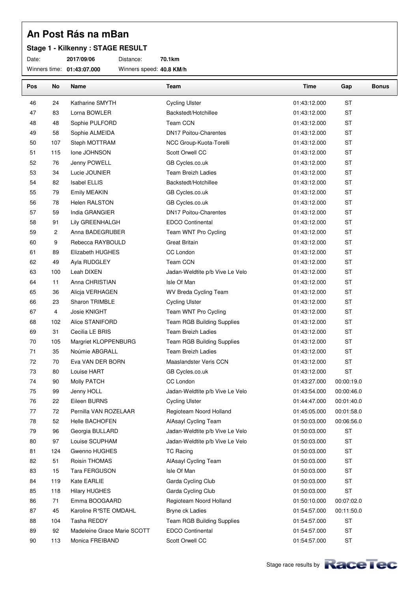### **Stage 1 - Kilkenny : STAGE RESULT**

Date: **2017/09/06** Distance: **70.1km**

Winners time: **01:43:07.000** Winners speed: **40.8 KM/h**

| Pos | No             | Name                        | Team                            | Time         | Gap        | <b>Bonus</b> |
|-----|----------------|-----------------------------|---------------------------------|--------------|------------|--------------|
| 46  | 24             | Katharine SMYTH             | <b>Cycling Ulster</b>           | 01:43:12.000 | <b>ST</b>  |              |
| 47  | 83             | Lorna BOWLER                | Backstedt/Hotchillee            | 01:43:12.000 | <b>ST</b>  |              |
| 48  | 48             | Sophie PULFORD              | Team CCN                        | 01:43:12.000 | <b>ST</b>  |              |
| 49  | 58             | Sophie ALMEIDA              | <b>DN17 Poitou-Charentes</b>    | 01:43:12.000 | ST         |              |
| 50  | 107            | Steph MOTTRAM               | NCC Group-Kuota-Torelli         | 01:43:12.000 | <b>ST</b>  |              |
| 51  | 115            | Ione JOHNSON                | Scott Orwell CC                 | 01:43:12.000 | <b>ST</b>  |              |
| 52  | 76             | Jenny POWELL                | GB Cycles.co.uk                 | 01:43:12.000 | <b>ST</b>  |              |
| 53  | 34             | Lucie JOUNIER               | <b>Team Breizh Ladies</b>       | 01:43:12.000 | <b>ST</b>  |              |
| 54  | 82             | <b>Isabel ELLIS</b>         | Backstedt/Hotchillee            | 01:43:12.000 | <b>ST</b>  |              |
| 55  | 79             | Emily MEAKIN                | GB Cycles.co.uk                 | 01:43:12.000 | <b>ST</b>  |              |
| 56  | 78             | Helen RALSTON               | GB Cycles.co.uk                 | 01:43:12.000 | <b>ST</b>  |              |
| 57  | 59             | India GRANGIER              | <b>DN17 Poitou-Charentes</b>    | 01:43:12.000 | ST         |              |
| 58  | 91             | Lily GREENHALGH             | EDCO Continental                | 01:43:12.000 | <b>ST</b>  |              |
| 59  | $\overline{c}$ | Anna BADEGRUBER             | Team WNT Pro Cycling            | 01:43:12.000 | <b>ST</b>  |              |
| 60  | 9              | Rebecca RAYBOULD            | <b>Great Britain</b>            | 01:43:12.000 | <b>ST</b>  |              |
| 61  | 89             | Elizabeth HUGHES            | CC London                       | 01:43:12.000 | <b>ST</b>  |              |
| 62  | 49             | Ayla RUDGLEY                | Team CCN                        | 01:43:12.000 | <b>ST</b>  |              |
| 63  | 100            | Leah DIXEN                  | Jadan-Weldtite p/b Vive Le Velo | 01:43:12.000 | <b>ST</b>  |              |
| 64  | 11             | Anna CHRISTIAN              | Isle Of Man                     | 01:43:12.000 | <b>ST</b>  |              |
| 65  | 36             | Alicja VERHAGEN             | WV Breda Cycling Team           | 01:43:12.000 | <b>ST</b>  |              |
| 66  | 23             | Sharon TRIMBLE              | <b>Cycling Ulster</b>           | 01:43:12.000 | <b>ST</b>  |              |
| 67  | 4              | Josie KNIGHT                | Team WNT Pro Cycling            | 01:43:12.000 | <b>ST</b>  |              |
| 68  | 102            | Alice STANIFORD             | Team RGB Building Supplies      | 01:43:12.000 | ST         |              |
| 69  | 31             | Cecilia LE BRIS             | <b>Team Breizh Ladies</b>       | 01:43:12.000 | <b>ST</b>  |              |
| 70  | 105            | Margriet KLOPPENBURG        | Team RGB Building Supplies      | 01:43:12.000 | <b>ST</b>  |              |
| 71  | 35             | Noúmie ABGRALL              | <b>Team Breizh Ladies</b>       | 01:43:12.000 | ST         |              |
| 72  | 70             | Eva VAN DER BORN            | Maaslandster Veris CCN          | 01:43:12.000 | <b>ST</b>  |              |
| 73  | 80             | Louise HART                 | GB Cycles.co.uk                 | 01:43:12.000 | <b>ST</b>  |              |
| 74  | 90             | Molly PATCH                 | CC London                       | 01:43:27.000 | 00:00:19.0 |              |
| 75  | 99             | Jenny HOLL                  | Jadan-Weldtite p/b Vive Le Velo | 01:43:54.000 | 00:00:46.0 |              |
| 76  | 22             | Eileen BURNS                | <b>Cycling Ulster</b>           | 01:44:47.000 | 00:01:40.0 |              |
| 77  | 72             | Pernilla VAN ROZELAAR       | Regioteam Noord Holland         | 01:45:05.000 | 00:01:58.0 |              |
| 78  | 52             | Helle BACHOFEN              | AlAsayl Cycling Team            | 01:50:03.000 | 00:06:56.0 |              |
| 79  | 96             | Georgia BULLARD             | Jadan-Weldtite p/b Vive Le Velo | 01:50:03.000 | ST         |              |
| 80  | 97             | Louise SCUPHAM              | Jadan-Weldtite p/b Vive Le Velo | 01:50:03.000 | <b>ST</b>  |              |
| 81  | 124            | Gwenno HUGHES               | <b>TC Racing</b>                | 01:50:03.000 | ST         |              |
| 82  | 51             | Roisin THOMAS               | AlAsayl Cycling Team            | 01:50:03.000 | <b>ST</b>  |              |
| 83  | 15             | Tara FERGUSON               | Isle Of Man                     | 01:50:03.000 | <b>ST</b>  |              |
| 84  | 119            | Kate EARLIE                 | Garda Cycling Club              | 01:50:03.000 | <b>ST</b>  |              |
| 85  | 118            | <b>Hilary HUGHES</b>        | Garda Cycling Club              | 01:50:03.000 | <b>ST</b>  |              |
| 86  | 71             | Emma BOOGAARD               | Regioteam Noord Holland         | 01:50:10.000 | 00:07:02.0 |              |
| 87  | 45             | Karoline R°STE OMDAHL       | Bryne ck Ladies                 | 01:54:57.000 | 00:11:50.0 |              |
| 88  | 104            | Tasha REDDY                 | Team RGB Building Supplies      | 01:54:57.000 | <b>ST</b>  |              |
| 89  | 92             | Madeleine Grace Marie SCOTT | <b>EDCO Continental</b>         | 01:54:57.000 | <b>ST</b>  |              |
| 90  | 113            | Monica FREIBAND             | Scott Orwell CC                 | 01:54:57.000 | ST         |              |
|     |                |                             |                                 |              |            |              |



٦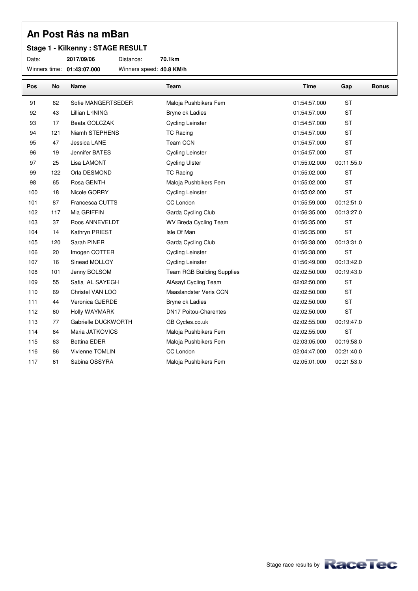### **Stage 1 - Kilkenny : STAGE RESULT**

Date: **2017/09/06** Distance: **70.1km**

Winners time: **01:43:07.000** Winners speed: **40.8 KM/h**

| Pos | <b>No</b> | Name                | Team                              | <b>Time</b>  | Gap        | <b>Bonus</b> |
|-----|-----------|---------------------|-----------------------------------|--------------|------------|--------------|
| 91  | 62        | Sofie MANGERTSEDER  | Maloja Pushbikers Fem             | 01:54:57.000 | <b>ST</b>  |              |
| 92  | 43        | Lillian L°INING     | Bryne ck Ladies                   | 01:54:57.000 | <b>ST</b>  |              |
| 93  | 17        | Beata GOLCZAK       | <b>Cycling Leinster</b>           | 01:54:57.000 | <b>ST</b>  |              |
| 94  | 121       | Niamh STEPHENS      | <b>TC Racing</b>                  | 01:54:57.000 | <b>ST</b>  |              |
| 95  | 47        | Jessica LANE        | <b>Team CCN</b>                   | 01:54:57.000 | <b>ST</b>  |              |
| 96  | 19        | Jennifer BATES      | <b>Cycling Leinster</b>           | 01:54:57.000 | <b>ST</b>  |              |
| 97  | 25        | Lisa LAMONT         | <b>Cycling Ulster</b>             | 01:55:02.000 | 00:11:55.0 |              |
| 99  | 122       | Orla DESMOND        | <b>TC Racing</b>                  | 01:55:02.000 | <b>ST</b>  |              |
| 98  | 65        | Rosa GENTH          | Maloja Pushbikers Fem             | 01:55:02.000 | <b>ST</b>  |              |
| 100 | 18        | Nicole GORRY        | <b>Cycling Leinster</b>           | 01:55:02.000 | <b>ST</b>  |              |
| 101 | 87        | Francesca CUTTS     | CC London                         | 01:55:59.000 | 00:12:51.0 |              |
| 102 | 117       | Mia GRIFFIN         | Garda Cycling Club                | 01:56:35.000 | 00:13:27.0 |              |
| 103 | 37        | Roos ANNEVELDT      | <b>WV Breda Cycling Team</b>      | 01:56:35.000 | <b>ST</b>  |              |
| 104 | 14        | Kathryn PRIEST      | Isle Of Man                       | 01:56:35.000 | <b>ST</b>  |              |
| 105 | 120       | Sarah PINER         | Garda Cycling Club                | 01:56:38.000 | 00:13:31.0 |              |
| 106 | 20        | Imogen COTTER       | <b>Cycling Leinster</b>           | 01:56:38.000 | <b>ST</b>  |              |
| 107 | 16        | Sinead MOLLOY       | <b>Cycling Leinster</b>           | 01:56:49.000 | 00:13:42.0 |              |
| 108 | 101       | Jenny BOLSOM        | <b>Team RGB Building Supplies</b> | 02:02:50.000 | 00:19:43.0 |              |
| 109 | 55        | Safia AL SAYEGH     | AlAsayl Cycling Team              | 02:02:50.000 | <b>ST</b>  |              |
| 110 | 69        | Christel VAN LOO    | Maaslandster Veris CCN            | 02:02:50.000 | <b>ST</b>  |              |
| 111 | 44        | Veronica GJERDE     | Bryne ck Ladies                   | 02:02:50.000 | <b>ST</b>  |              |
| 112 | 60        | Holly WAYMARK       | <b>DN17 Poitou-Charentes</b>      | 02:02:50.000 | <b>ST</b>  |              |
| 113 | 77        | Gabrielle DUCKWORTH | GB Cycles.co.uk                   | 02:02:55.000 | 00:19:47.0 |              |
| 114 | 64        | Maria JATKOVICS     | Maloja Pushbikers Fem             | 02:02:55.000 | <b>ST</b>  |              |
| 115 | 63        | <b>Bettina EDER</b> | Maloja Pushbikers Fem             | 02:03:05.000 | 00:19:58.0 |              |
| 116 | 86        | Vivienne TOMLIN     | CC London                         | 02:04:47.000 | 00:21:40.0 |              |
| 117 | 61        | Sabina OSSYRA       | Maloja Pushbikers Fem             | 02:05:01.000 | 00:21:53.0 |              |

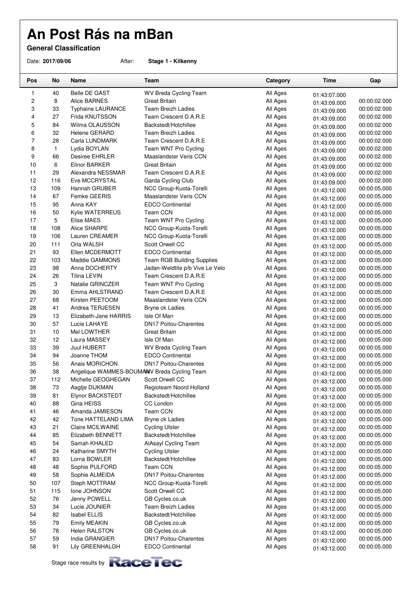**General Classification**

Date: **2017/09/06** After: **Stage 1 - Kilkenny**

| Pos            | No           | Name                                        | Team                              | Category | Time         | Gap          |
|----------------|--------------|---------------------------------------------|-----------------------------------|----------|--------------|--------------|
| 1              | 40           | <b>Belle DE GAST</b>                        | WV Breda Cycling Team             | All Ages | 01:43:07.000 |              |
| 2              | 8            | Alice BARNES                                | Great Britain                     | All Ages | 01:43:09.000 | 00:00:02.000 |
| 3              | 33           | <b>Typhaine LAURANCE</b>                    | <b>Team Breizh Ladies</b>         | All Ages | 01:43:09.000 | 00:00:02.000 |
| 4              | 27           | Frida KNUTSSON                              | Team Crescent D.A.R.E             | All Ages | 01:43:09.000 | 00:00:02.000 |
| 5              | 84           | Wilma OLAUSSON                              | Backstedt/Hotchillee              | All Ages | 01:43:09.000 | 00:00:02.000 |
| 6              | 32           | Helene GERARD                               | <b>Team Breizh Ladies</b>         | All Ages | 01:43:09.000 | 00:00:02.000 |
| $\overline{7}$ | 28           | Carla LUNDMARK                              | Team Crescent D.A.R.E             | All Ages | 01:43:09.000 | 00:00:02.000 |
| 8              | $\mathbf{1}$ | Lydia BOYLAN                                | Team WNT Pro Cycling              | All Ages | 01:43:09.000 | 00:00:02.000 |
| 9              | 66           | Desiree EHRLER                              | Maaslandster Veris CCN            | All Ages | 01:43:09.000 | 00:00:02.000 |
| 10             | 6            | <b>Elinor BARKER</b>                        | <b>Great Britain</b>              | All Ages | 01:43:09.000 | 00:00:02.000 |
| 11             | 29           | Alexandra NESSMAR                           | Team Crescent D.A.R.E             | All Ages | 01:43:09.000 | 00:00:02.000 |
| 12             | 116          | Eve MCCRYSTAL                               | Garda Cycling Club                | All Ages | 01:43:09.000 | 00:00:02.000 |
| 13             | 109          | Hannah GRUBER                               | NCC Group-Kuota-Torelli           | All Ages | 01:43:12.000 | 00:00:05.000 |
| 14             | 67           | Femke GEERIS                                | Maaslandster Veris CCN            | All Ages | 01:43:12.000 | 00:00:05.000 |
| 15             | 95           | Anna KAY                                    | <b>EDCO Continental</b>           | All Ages | 01:43:12.000 | 00:00:05.000 |
| 16             | 50           | Kylie WATERREUS                             | <b>Team CCN</b>                   | All Ages | 01:43:12.000 | 00:00:05.000 |
| 17             | 5            | <b>Elise MAES</b>                           | Team WNT Pro Cycling              | All Ages | 01:43:12.000 | 00:00:05.000 |
| 18             | 108          | Alice SHARPE                                | NCC Group-Kuota-Torelli           | All Ages | 01:43:12.000 | 00:00:05.000 |
| 19             | 106          | Lauren CREAMER                              | NCC Group-Kuota-Torelli           | All Ages | 01:43:12.000 | 00:00:05.000 |
| 20             | 111          | Orla WALSH                                  | Scott Orwell CC                   | All Ages | 01:43:12.000 | 00:00:05.000 |
| 21             | 93           | Ellen MCDERMOTT                             | <b>EDCO Continental</b>           | All Ages | 01:43:12.000 | 00:00:05.000 |
| 22             | 103          | Maddie GAMMONS                              | <b>Team RGB Building Supplies</b> | All Ages | 01:43:12.000 | 00:00:05.000 |
| 23             | 98           | Anna DOCHERTY                               | Jadan-Weldtite p/b Vive Le Velo   | All Ages | 01:43:12.000 | 00:00:05.000 |
| 24             | 26           | <b>Tilina LEVIN</b>                         | Team Crescent D.A.R.E             | All Ages | 01:43:12.000 | 00:00:05.000 |
| 25             | 3            | Natalie GRINCZER                            | Team WNT Pro Cycling              | All Ages | 01:43:12.000 | 00:00:05.000 |
| 26             | 30           | Emma AHLSTRAND                              | Team Crescent D.A.R.E             | All Ages | 01:43:12.000 | 00:00:05.000 |
| 27             | 68           | Kirsten PEETOOM                             | Maaslandster Veris CCN            | All Ages | 01:43:12.000 | 00:00:05.000 |
| 28             | 41           | Andrea TERJESEN                             | Bryne ck Ladies                   | All Ages | 01:43:12.000 | 00:00:05.000 |
| 29             | 13           | Elizabeth-Jane HARRIS                       | Isle Of Man                       | All Ages | 01:43:12.000 | 00:00:05.000 |
| 30             | 57           | Lucie LAHAYE                                | <b>DN17 Poitou-Charentes</b>      | All Ages | 01:43:12.000 | 00:00:05.000 |
| 31             | 10           | Mel LOWTHER                                 | Great Britain                     | All Ages | 01:43:12.000 | 00:00:05.000 |
| 32             | 12           | Laura MASSEY                                | Isle Of Man                       | All Ages | 01:43:12.000 | 00:00:05.000 |
| 33             | 39           | Juul HUBERT                                 | WV Breda Cycling Team             | All Ages | 01:43:12.000 | 00:00:05.000 |
| 34             | 94           | Joanne THOM                                 | <b>EDCO Continental</b>           | All Ages | 01:43:12.000 | 00:00:05.000 |
| 35             | 56           | Anais MORICHON                              | <b>DN17 Poitou-Charentes</b>      | All Ages | 01:43:12.000 | 00:00:05.000 |
| 36             | 38           | Angelique WAMMES-BOUMAMV Breda Cycling Team |                                   | All Ages | 01:43:12.000 | 00:00:05.000 |
| 37             | 112          | Michelle GEOGHEGAN                          | Scott Orwell CC                   | All Ages | 01:43:12.000 | 00:00:05.000 |
| 38             | 73           | Aagtje DIJKMAN                              | Regioteam Noord Holland           | All Ages | 01:43:12.000 | 00:00:05.000 |
| 39             | 81           | Elynor BACKSTEDT                            | Backstedt/Hotchillee              | All Ages | 01:43:12.000 | 00:00:05.000 |
| 40             | 88           | Gina HEISS                                  | CC London                         | All Ages | 01:43:12.000 | 00:00:05.000 |
| 41             | 46           | Amanda JAMIESON                             | Team CCN                          | All Ages | 01:43:12.000 | 00:00:05.000 |
| 42             | 42           | Tone HATTELAND LIMA                         | Bryne ck Ladies                   | All Ages | 01:43:12.000 | 00:00:05.000 |
| 43             | 21           | Claire MCILWAINE                            | <b>Cycling Ulster</b>             | All Ages | 01:43:12.000 | 00:00:05.000 |
| 44             | 85           | Elizabeth BENNETT                           | Backstedt/Hotchillee              | All Ages | 01:43:12.000 | 00:00:05.000 |
| 45             | 54           | Samah KHALED                                | AlAsayl Cycling Team              | All Ages | 01:43:12.000 | 00:00:05.000 |
| 46             | 24           | Katharine SMYTH                             | <b>Cycling Ulster</b>             | All Ages | 01:43:12.000 | 00:00:05.000 |
| 47             | 83           | Lorna BOWLER                                | Backstedt/Hotchillee              | All Ages | 01:43:12.000 | 00:00:05.000 |
| 48             | 48           | Sophie PULFORD                              | <b>Team CCN</b>                   | All Ages | 01:43:12.000 | 00:00:05.000 |
| 49             | 58           | Sophie ALMEIDA                              | <b>DN17 Poitou-Charentes</b>      | All Ages | 01:43:12.000 | 00:00:05.000 |
| 50             | 107          | Steph MOTTRAM                               | NCC Group-Kuota-Torelli           | All Ages | 01:43:12.000 | 00:00:05.000 |
| 51             | 115          | Ione JOHNSON                                | Scott Orwell CC                   | All Ages | 01:43:12.000 | 00:00:05.000 |
| 52             | 76           | Jenny POWELL                                | GB Cycles.co.uk                   | All Ages | 01:43:12.000 | 00:00:05.000 |
| 53             | 34           | Lucie JOUNIER                               | <b>Team Breizh Ladies</b>         | All Ages | 01:43:12.000 | 00:00:05.000 |
| 54             | 82           | <b>Isabel ELLIS</b>                         | Backstedt/Hotchillee              | All Ages | 01:43:12.000 | 00:00:05.000 |
| 55             | 79           | Emily MEAKIN                                | GB Cycles.co.uk                   | All Ages | 01:43:12.000 | 00:00:05.000 |
| 56             | 78           | <b>Helen RALSTON</b>                        | GB Cycles.co.uk                   | All Ages | 01:43:12.000 | 00:00:05.000 |
| 57             | 59           | India GRANGIER                              | <b>DN17 Poitou-Charentes</b>      | All Ages | 01:43:12.000 | 00:00:05.000 |
| 58             | 91           | Lily GREENHALGH                             | <b>EDCO Continental</b>           | All Ages | 01:43:12.000 | 00:00:05.000 |

Stage race results by **Race Tec**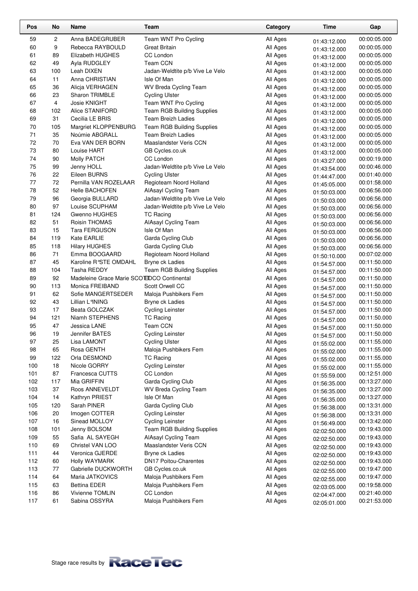| Pos      | No             | Name                                       | Team                                           | Category             | Time                         | Gap                          |
|----------|----------------|--------------------------------------------|------------------------------------------------|----------------------|------------------------------|------------------------------|
| 59       | $\overline{c}$ | Anna BADEGRUBER                            | Team WNT Pro Cycling                           | All Ages             | 01:43:12.000                 | 00:00:05.000                 |
| 60       | 9              | Rebecca RAYBOULD                           | Great Britain                                  | All Ages             | 01:43:12.000                 | 00:00:05.000                 |
| 61       | 89             | Elizabeth HUGHES                           | CC London                                      | All Ages             | 01:43:12.000                 | 00:00:05.000                 |
| 62       | 49             | Ayla RUDGLEY                               | <b>Team CCN</b>                                | All Ages             | 01:43:12.000                 | 00:00:05.000                 |
| 63       | 100            | Leah DIXEN                                 | Jadan-Weldtite p/b Vive Le Velo                | All Ages             | 01:43:12.000                 | 00:00:05.000                 |
| 64       | 11             | Anna CHRISTIAN                             | Isle Of Man                                    | All Ages             | 01:43:12.000                 | 00:00:05.000                 |
| 65       | 36             | Alicja VERHAGEN                            | WV Breda Cycling Team                          | All Ages             | 01:43:12.000                 | 00:00:05.000                 |
| 66       | 23             | <b>Sharon TRIMBLE</b>                      | <b>Cycling Ulster</b>                          | All Ages             | 01:43:12.000                 | 00:00:05.000                 |
| 67       | 4              | Josie KNIGHT                               | Team WNT Pro Cycling                           | All Ages             | 01:43:12.000                 | 00:00:05.000                 |
| 68       | 102            | Alice STANIFORD                            | Team RGB Building Supplies                     | All Ages             | 01:43:12.000                 | 00:00:05.000                 |
| 69       | 31             | Cecilia LE BRIS                            | <b>Team Breizh Ladies</b>                      | All Ages             | 01:43:12.000                 | 00:00:05.000                 |
| 70       | 105            | Margriet KLOPPENBURG                       | <b>Team RGB Building Supplies</b>              | All Ages             | 01:43:12.000                 | 00:00:05.000                 |
| 71       | 35             | Noúmie ABGRALL                             | <b>Team Breizh Ladies</b>                      | All Ages             | 01:43:12.000                 | 00:00:05.000                 |
| 72       | 70             | Eva VAN DER BORN                           | Maaslandster Veris CCN                         | All Ages             | 01:43:12.000                 | 00:00:05.000                 |
| 73       | 80             | Louise HART                                | GB Cycles.co.uk                                | All Ages             | 01:43:12.000                 | 00:00:05.000                 |
| 74       | 90             | Molly PATCH                                | CC London                                      | All Ages             | 01:43:27.000                 | 00:00:19.000                 |
| 75       | 99             | Jenny HOLL                                 | Jadan-Weldtite p/b Vive Le Velo                | All Ages             | 01:43:54.000                 | 00:00:46.000                 |
| 76       | 22             | Eileen BURNS                               | <b>Cycling Ulster</b>                          | All Ages             | 01:44:47.000                 | 00:01:40.000                 |
| 77       | 72             | Pernilla VAN ROZELAAR                      | Regioteam Noord Holland                        | All Ages             | 01:45:05.000                 | 00:01:58.000                 |
| 78       | 52             | <b>Helle BACHOFEN</b>                      | AlAsayl Cycling Team                           | All Ages             | 01:50:03.000                 | 00:06:56.000                 |
| 79       | 96             | Georgia BULLARD                            | Jadan-Weldtite p/b Vive Le Velo                | All Ages             | 01:50:03.000                 | 00:06:56.000                 |
| 80       | 97             | Louise SCUPHAM                             | Jadan-Weldtite p/b Vive Le Velo                | All Ages             | 01:50:03.000                 | 00:06:56.000                 |
| 81       | 124            | Gwenno HUGHES                              | <b>TC Racing</b>                               | All Ages             | 01:50:03.000                 | 00:06:56.000                 |
| 82       | 51             | Roisin THOMAS                              | AlAsayl Cycling Team                           | All Ages             | 01:50:03.000                 | 00:06:56.000                 |
| 83       | 15             | <b>Tara FERGUSON</b>                       | Isle Of Man                                    | All Ages             | 01:50:03.000                 | 00:06:56.000                 |
| 84       | 119            | Kate EARLIE                                | Garda Cycling Club                             | All Ages             | 01:50:03.000                 | 00:06:56.000                 |
| 85       | 118            | <b>Hilary HUGHES</b>                       | Garda Cycling Club                             | All Ages             | 01:50:03.000                 | 00:06:56.000                 |
| 86       | 71             | Emma BOOGAARD                              | Regioteam Noord Holland                        | All Ages             | 01:50:10.000                 | 00:07:02.000                 |
| 87       | 45             | Karoline R°STE OMDAHL                      | Bryne ck Ladies                                | All Ages             | 01:54:57.000                 | 00:11:50.000                 |
| 88       | 104            | Tasha REDDY                                | <b>Team RGB Building Supplies</b>              | All Ages             | 01:54:57.000                 | 00:11:50.000                 |
| 89       | 92             | Madeleine Grace Marie SCO EDCO Continental |                                                | All Ages             | 01:54:57.000                 | 00:11:50.000                 |
| 90       | 113            | Monica FREIBAND                            | Scott Orwell CC                                | All Ages             | 01:54:57.000                 | 00:11:50.000                 |
| 91       | 62             | Sofie MANGERTSEDER                         | Maloja Pushbikers Fem                          | All Ages             | 01:54:57.000                 | 00:11:50.000                 |
| 92       | 43             | Lillian L°INING                            | Bryne ck Ladies                                | All Ages             | 01:54:57.000                 | 00:11:50.000                 |
| 93       | 17             | Beata GOLCZAK                              | <b>Cycling Leinster</b>                        | All Ages             | 01:54:57.000                 | 00:11:50.000                 |
| 94<br>95 | 121<br>47      | Niamh STEPHENS<br>Jessica LANE             | <b>TC Racing</b><br>Team CCN                   | All Ages             | 01:54:57.000                 | 00:11:50.000<br>00:11:50.000 |
| 96       | 19             | <b>Jennifer BATES</b>                      | <b>Cycling Leinster</b>                        | All Ages<br>All Ages | 01:54:57.000                 | 00:11:50.000                 |
| 97       |                | Lisa LAMONT                                |                                                |                      | 01:54:57.000                 | 00:11:55.000                 |
| 98       | 25<br>65       | Rosa GENTH                                 | <b>Cycling Ulster</b><br>Maloja Pushbikers Fem | All Ages<br>All Ages | 01:55:02.000                 | 00:11:55.000                 |
| 99       | 122            | Orla DESMOND                               | <b>TC Racing</b>                               | All Ages             | 01:55:02.000                 | 00:11:55.000                 |
| 100      | 18             | Nicole GORRY                               | <b>Cycling Leinster</b>                        | All Ages             | 01:55:02.000                 | 00:11:55.000                 |
| 101      | 87             | Francesca CUTTS                            | CC London                                      | All Ages             | 01:55:02.000                 | 00:12:51.000                 |
| 102      | 117            | Mia GRIFFIN                                | Garda Cycling Club                             | All Ages             | 01:55:59.000                 | 00:13:27.000                 |
| 103      | 37             | Roos ANNEVELDT                             | WV Breda Cycling Team                          | All Ages             | 01:56:35.000                 | 00:13:27.000                 |
| 104      | 14             | Kathryn PRIEST                             | Isle Of Man                                    | All Ages             | 01:56:35.000<br>01:56:35.000 | 00:13:27.000                 |
| 105      | 120            | Sarah PINER                                | Garda Cycling Club                             | All Ages             | 01:56:38.000                 | 00:13:31.000                 |
| 106      | 20             | Imogen COTTER                              | <b>Cycling Leinster</b>                        | All Ages             | 01:56:38.000                 | 00:13:31.000                 |
| 107      | 16             | Sinead MOLLOY                              | <b>Cycling Leinster</b>                        | All Ages             | 01:56:49.000                 | 00:13:42.000                 |
| 108      | 101            | Jenny BOLSOM                               | <b>Team RGB Building Supplies</b>              | All Ages             | 02:02:50.000                 | 00:19:43.000                 |
| 109      | 55             | Safia AL SAYEGH                            | AlAsayl Cycling Team                           | All Ages             | 02:02:50.000                 | 00:19:43.000                 |
| 110      | 69             | Christel VAN LOO                           | Maaslandster Veris CCN                         | All Ages             | 02:02:50.000                 | 00:19:43.000                 |
| 111      | 44             | Veronica GJERDE                            | Bryne ck Ladies                                | All Ages             | 02:02:50.000                 | 00:19:43.000                 |
| 112      | 60             | Holly WAYMARK                              | <b>DN17 Poitou-Charentes</b>                   | All Ages             | 02:02:50.000                 | 00:19:43.000                 |
| 113      | 77             | Gabrielle DUCKWORTH                        | GB Cycles.co.uk                                | All Ages             | 02:02:55.000                 | 00:19:47.000                 |
| 114      | 64             | Maria JATKOVICS                            | Maloja Pushbikers Fem                          | All Ages             | 02:02:55.000                 | 00:19:47.000                 |
| 115      | 63             | <b>Bettina EDER</b>                        | Maloja Pushbikers Fem                          | All Ages             | 02:03:05.000                 | 00:19:58.000                 |
| 116      | 86             | Vivienne TOMLIN                            | CC London                                      | All Ages             | 02:04:47.000                 | 00:21:40.000                 |
| 117      | 61             | Sabina OSSYRA                              | Maloja Pushbikers Fem                          | All Ages             | 02:05:01.000                 | 00:21:53.000                 |

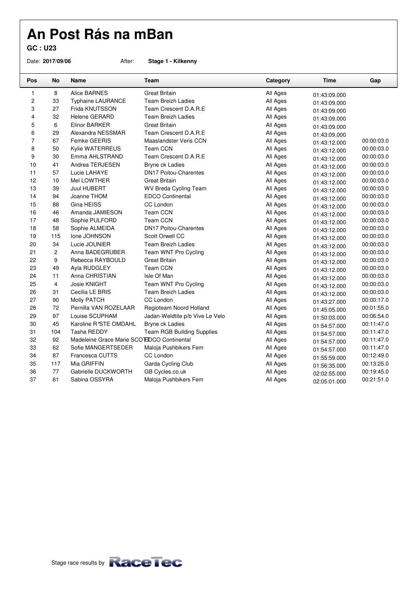**GC : U23**

Date: **2017/09/06** After: **Stage 1 - Kilkenny**

| Pos            | <b>No</b>      | <b>Name</b>                                | Team                              | Category | <b>Time</b>  | Gap        |
|----------------|----------------|--------------------------------------------|-----------------------------------|----------|--------------|------------|
| 1              | 8              | Alice BARNES                               | <b>Great Britain</b>              | All Ages | 01:43:09.000 |            |
| 2              | 33             | <b>Typhaine LAURANCE</b>                   | <b>Team Breizh Ladies</b>         | All Ages | 01:43:09.000 |            |
| 3              | 27             | Frida KNUTSSON                             | Team Crescent D.A.R.E             | All Ages | 01:43:09.000 |            |
| 4              | 32             | <b>Helene GERARD</b>                       | <b>Team Breizh Ladies</b>         | All Ages | 01:43:09.000 |            |
| 5              | 6              | Elinor BARKER                              | <b>Great Britain</b>              | All Ages | 01:43:09.000 |            |
| 6              | 29             | Alexandra NESSMAR                          | Team Crescent D.A.R.E             | All Ages | 01:43:09.000 |            |
| $\overline{7}$ | 67             | Femke GEERIS                               | Maaslandster Veris CCN            | All Ages | 01:43:12.000 | 00:00:03.0 |
| 8              | 50             | Kylie WATERREUS                            | <b>Team CCN</b>                   | All Ages | 01:43:12.000 | 00:00:03.0 |
| 9              | 30             | Emma AHLSTRAND                             | Team Crescent D.A.R.E             | All Ages | 01:43:12.000 | 00:00:03.0 |
| 10             | 41             | Andrea TERJESEN                            | Bryne ck Ladies                   | All Ages | 01:43:12.000 | 00:00:03.0 |
| 11             | 57             | Lucie LAHAYE                               | <b>DN17 Poitou-Charentes</b>      | All Ages | 01:43:12.000 | 00:00:03.0 |
| 12             | 10             | Mel LOWTHER                                | Great Britain                     | All Ages | 01:43:12.000 | 00:00:03.0 |
| 13             | 39             | <b>Juul HUBERT</b>                         | <b>WV Breda Cycling Team</b>      | All Ages | 01:43:12.000 | 00:00:03.0 |
| 14             | 94             | Joanne THOM                                | <b>EDCO Continental</b>           | All Ages | 01:43:12.000 | 00:00:03.0 |
| 15             | 88             | Gina HEISS                                 | CC London                         | All Ages | 01:43:12.000 | 00:00:03.0 |
| 16             | 46             | Amanda JAMIESON                            | <b>Team CCN</b>                   | All Ages | 01:43:12.000 | 00:00:03.0 |
| 17             | 48             | Sophie PULFORD                             | <b>Team CCN</b>                   | All Ages | 01:43:12.000 | 00:00:03.0 |
| 18             | 58             | Sophie ALMEIDA                             | <b>DN17 Poitou-Charentes</b>      | All Ages | 01:43:12.000 | 00:00:03.0 |
| 19             | 115            | Ione JOHNSON                               | Scott Orwell CC                   | All Ages | 01:43:12.000 | 00:00:03.0 |
| 20             | 34             | Lucie JOUNIER                              | Team Breizh Ladies                | All Ages | 01:43:12.000 | 00:00:03.0 |
| 21             | $\overline{c}$ | Anna BADEGRUBER                            | Team WNT Pro Cycling              | All Ages | 01:43:12.000 | 00:00:03.0 |
| 22             | 9              | Rebecca RAYBOULD                           | <b>Great Britain</b>              | All Ages | 01:43:12.000 | 00:00:03.0 |
| 23             | 49             | Ayla RUDGLEY                               | <b>Team CCN</b>                   | All Ages | 01:43:12.000 | 00:00:03.0 |
| 24             | 11             | Anna CHRISTIAN                             | Isle Of Man                       | All Ages | 01:43:12.000 | 00:00:03.0 |
| 25             | 4              | Josie KNIGHT                               | Team WNT Pro Cycling              | All Ages | 01:43:12.000 | 00:00:03.0 |
| 26             | 31             | Cecilia LE BRIS                            | <b>Team Breizh Ladies</b>         | All Ages | 01:43:12.000 | 00:00:03.0 |
| 27             | 90             | <b>Molly PATCH</b>                         | CC London                         | All Ages | 01:43:27.000 | 00:00:17.0 |
| 28             | 72             | Pernilla VAN ROZELAAR                      | Regioteam Noord Holland           | All Ages | 01:45:05.000 | 00:01:55.0 |
| 29             | 97             | Louise SCUPHAM                             | Jadan-Weldtite p/b Vive Le Velo   | All Ages | 01:50:03.000 | 00:06:54.0 |
| 30             | 45             | Karoline R°STE OMDAHL                      | Bryne ck Ladies                   | All Ages | 01:54:57.000 | 00:11:47.0 |
| 31             | 104            | Tasha REDDY                                | <b>Team RGB Building Supplies</b> | All Ages | 01:54:57.000 | 00:11:47.0 |
| 32             | 92             | Madeleine Grace Marie SCO EDCO Continental |                                   | All Ages | 01:54:57.000 | 00:11:47.0 |
| 33             | 62             | Sofie MANGERTSEDER                         | Maloja Pushbikers Fem             | All Ages | 01:54:57.000 | 00:11:47.0 |
| 34             | 87             | Francesca CUTTS                            | CC London                         | All Ages | 01:55:59.000 | 00:12:49.0 |
| 35             | 117            | Mia GRIFFIN                                | Garda Cycling Club                | All Ages | 01:56:35.000 | 00:13:25.0 |
| 36             | 77             | Gabrielle DUCKWORTH                        | GB Cycles.co.uk                   | All Ages | 02:02:55.000 | 00:19:45.0 |
| 37             | 61             | Sabina OSSYRA                              | Maloja Pushbikers Fem             | All Ages | 02:05:01.000 | 00:21:51.0 |

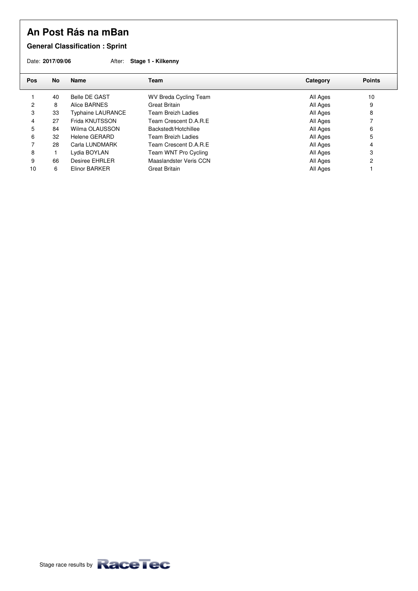**General Classification : Sprint** 

Date: **2017/09/06** After: **Stage 1 - Kilkenny**

| <b>Pos</b> | No | <b>Name</b>              | Team                         | Category | <b>Points</b> |
|------------|----|--------------------------|------------------------------|----------|---------------|
|            | 40 | Belle DE GAST            | <b>WV Breda Cycling Team</b> | All Ages | 10            |
| 2          | 8  | Alice BARNES             | <b>Great Britain</b>         | All Ages | 9             |
| 3          | 33 | <b>Typhaine LAURANCE</b> | Team Breizh Ladies           | All Ages | 8             |
| 4          | 27 | Frida KNUTSSON           | Team Crescent D.A.R.E        | All Ages |               |
| 5          | 84 | Wilma OLAUSSON           | Backstedt/Hotchillee         | All Ages | 6             |
| 6          | 32 | Helene GERARD            | Team Breizh Ladies           | All Ages | 5             |
|            | 28 | Carla LUNDMARK           | Team Crescent D.A.R.E        | All Ages | 4             |
| 8          |    | Lydia BOYLAN             | Team WNT Pro Cycling         | All Ages | 3             |
| 9          | 66 | Desiree EHRLER           | Maaslandster Veris CCN       | All Ages | 2             |
| 10         | 6  | Elinor BARKER            | Great Britain                | All Ages |               |
|            |    |                          |                              |          |               |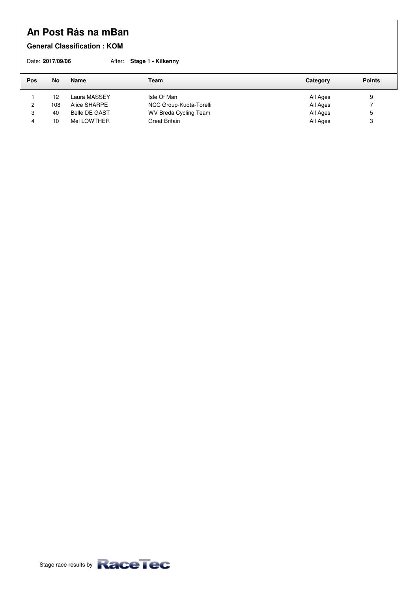### **General Classification : KOM**

|     | Date: 2017/09/06 |               | After: Stage 1 - Kilkenny    |          |               |
|-----|------------------|---------------|------------------------------|----------|---------------|
| Pos | No               | Name          | Team                         | Category | <b>Points</b> |
|     | 12               | Laura MASSEY  | Isle Of Man                  | All Ages | 9             |
| 2   | 108              | Alice SHARPE  | NCC Group-Kuota-Torelli      | All Ages |               |
| 3   | 40               | Belle DE GAST | <b>WV Breda Cycling Team</b> | All Ages | 5             |
| 4   | 10               | Mel LOWTHER   | <b>Great Britain</b>         | All Ages | 3             |